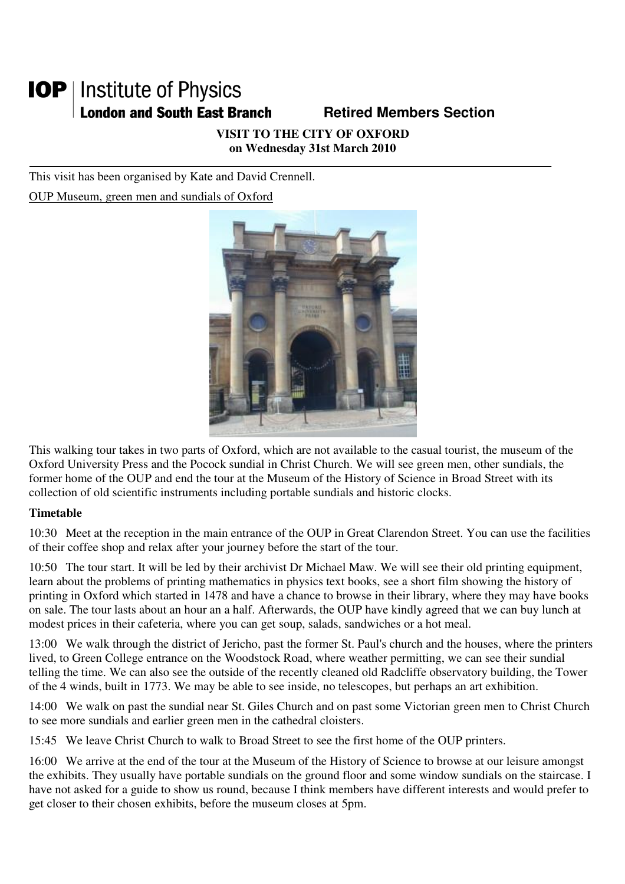## **IOP** | Institute of Physics **London and South East Branch Famely Retired Members Section**

**VISIT TO THE CITY OF OXFORD on Wednesday 31st March 2010** 

This visit has been organised by Kate and David Crennell.

OUP Museum, green men and sundials of Oxford



This walking tour takes in two parts of Oxford, which are not available to the casual tourist, the museum of the Oxford University Press and the Pocock sundial in Christ Church. We will see green men, other sundials, the former home of the OUP and end the tour at the Museum of the History of Science in Broad Street with its collection of old scientific instruments including portable sundials and historic clocks.

## **Timetable**

10:30 Meet at the reception in the main entrance of the OUP in Great Clarendon Street. You can use the facilities of their coffee shop and relax after your journey before the start of the tour.

10:50 The tour start. It will be led by their archivist Dr Michael Maw. We will see their old printing equipment, learn about the problems of printing mathematics in physics text books, see a short film showing the history of printing in Oxford which started in 1478 and have a chance to browse in their library, where they may have books on sale. The tour lasts about an hour an a half. Afterwards, the OUP have kindly agreed that we can buy lunch at modest prices in their cafeteria, where you can get soup, salads, sandwiches or a hot meal.

13:00 We walk through the district of Jericho, past the former St. Paul's church and the houses, where the printers lived, to Green College entrance on the Woodstock Road, where weather permitting, we can see their sundial telling the time. We can also see the outside of the recently cleaned old Radcliffe observatory building, the Tower of the 4 winds, built in 1773. We may be able to see inside, no telescopes, but perhaps an art exhibition.

14:00 We walk on past the sundial near St. Giles Church and on past some Victorian green men to Christ Church to see more sundials and earlier green men in the cathedral cloisters.

15:45 We leave Christ Church to walk to Broad Street to see the first home of the OUP printers.

16:00 We arrive at the end of the tour at the Museum of the History of Science to browse at our leisure amongst the exhibits. They usually have portable sundials on the ground floor and some window sundials on the staircase. I have not asked for a guide to show us round, because I think members have different interests and would prefer to get closer to their chosen exhibits, before the museum closes at 5pm.